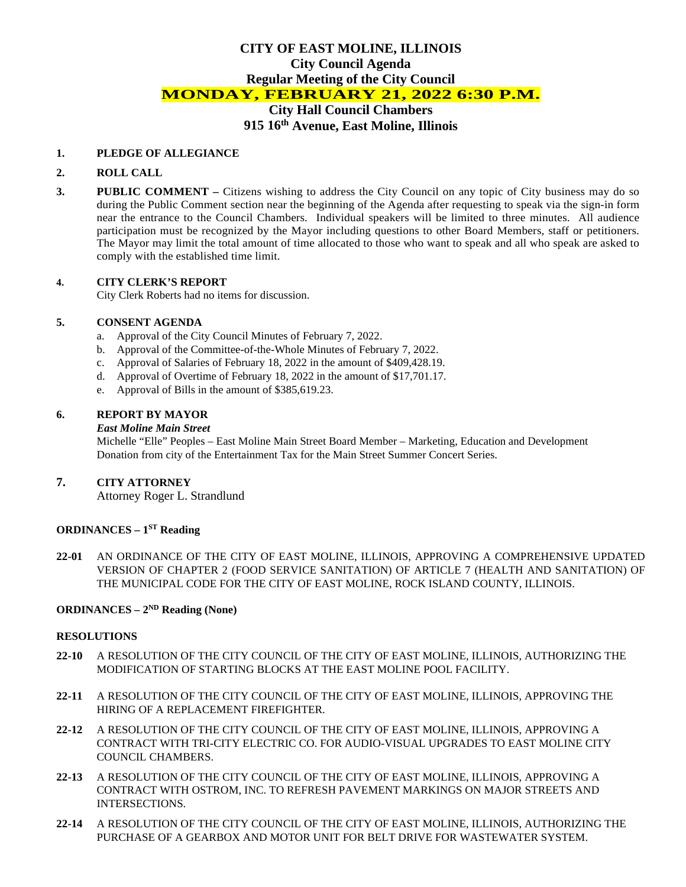# **CITY OF EAST MOLINE, ILLINOIS City Council Agenda Regular Meeting of the City Council MONDAY, FEBRUARY 21, 2022 6:30 P.M. City Hall Council Chambers**

# **915 16th Avenue, East Moline, Illinois**

#### **1. PLEDGE OF ALLEGIANCE**

#### **2. ROLL CALL**

**3. PUBLIC COMMENT –** Citizens wishing to address the City Council on any topic of City business may do so during the Public Comment section near the beginning of the Agenda after requesting to speak via the sign-in form near the entrance to the Council Chambers. Individual speakers will be limited to three minutes. All audience participation must be recognized by the Mayor including questions to other Board Members, staff or petitioners. The Mayor may limit the total amount of time allocated to those who want to speak and all who speak are asked to comply with the established time limit.

#### **4. CITY CLERK'S REPORT**

City Clerk Roberts had no items for discussion.

#### **5. CONSENT AGENDA**

- a. Approval of the City Council Minutes of February 7, 2022.
- b. Approval of the Committee-of-the-Whole Minutes of February 7, 2022.
- c. Approval of Salaries of February 18, 2022 in the amount of \$409,428.19.
- d. Approval of Overtime of February 18, 2022 in the amount of \$17,701.17.
- e. Approval of Bills in the amount of \$385,619.23.

#### **6. REPORT BY MAYOR**

#### *East Moline Main Street*

Michelle "Elle" Peoples – East Moline Main Street Board Member – Marketing, Education and Development Donation from city of the Entertainment Tax for the Main Street Summer Concert Series.

#### **7. CITY ATTORNEY**

Attorney Roger L. Strandlund

#### **ORDINANCES – 1ST Reading**

**22-01** AN ORDINANCE OF THE CITY OF EAST MOLINE, ILLINOIS, APPROVING A COMPREHENSIVE UPDATED VERSION OF CHAPTER 2 (FOOD SERVICE SANITATION) OF ARTICLE 7 (HEALTH AND SANITATION) OF THE MUNICIPAL CODE FOR THE CITY OF EAST MOLINE, ROCK ISLAND COUNTY, ILLINOIS.

## **ORDINANCES – 2ND Reading (None)**

#### **RESOLUTIONS**

- **22-10** A RESOLUTION OF THE CITY COUNCIL OF THE CITY OF EAST MOLINE, ILLINOIS, AUTHORIZING THE MODIFICATION OF STARTING BLOCKS AT THE EAST MOLINE POOL FACILITY.
- **22-11** A RESOLUTION OF THE CITY COUNCIL OF THE CITY OF EAST MOLINE, ILLINOIS, APPROVING THE HIRING OF A REPLACEMENT FIREFIGHTER.
- **22-12** A RESOLUTION OF THE CITY COUNCIL OF THE CITY OF EAST MOLINE, ILLINOIS, APPROVING A CONTRACT WITH TRI-CITY ELECTRIC CO. FOR AUDIO-VISUAL UPGRADES TO EAST MOLINE CITY COUNCIL CHAMBERS.
- **22-13** A RESOLUTION OF THE CITY COUNCIL OF THE CITY OF EAST MOLINE, ILLINOIS, APPROVING A CONTRACT WITH OSTROM, INC. TO REFRESH PAVEMENT MARKINGS ON MAJOR STREETS AND INTERSECTIONS.
- **22-14** A RESOLUTION OF THE CITY COUNCIL OF THE CITY OF EAST MOLINE, ILLINOIS, AUTHORIZING THE PURCHASE OF A GEARBOX AND MOTOR UNIT FOR BELT DRIVE FOR WASTEWATER SYSTEM.